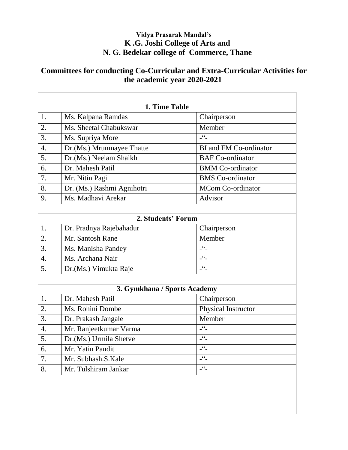#### **Vidya Prasarak Mandal's K .G. Joshi College of Arts and N. G. Bedekar college of Commerce, Thane**

#### **Committees for conducting Co-Curricular and Extra-Curricular Activities for the academic year 2020-2021**

| 1. Time Table      |                              |                             |
|--------------------|------------------------------|-----------------------------|
| 1.                 | Ms. Kalpana Ramdas           | Chairperson                 |
| 2.                 | Ms. Sheetal Chabukswar       | Member                      |
| 3.                 | Ms. Supriya More             | $ \frac{66}{1}$             |
| $\overline{4}$ .   | Dr.(Ms.) Mrunmayee Thatte    | BI and FM Co-ordinator      |
| 5.                 | Dr.(Ms.) Neelam Shaikh       | <b>BAF</b> Co-ordinator     |
| 6.                 | Dr. Mahesh Patil             | <b>BMM</b> Co-ordinator     |
| 7.                 | Mr. Nitin Pagi               | <b>BMS</b> Co-ordinator     |
| 8.                 | Dr. (Ms.) Rashmi Agnihotri   | <b>MCom Co-ordinator</b>    |
| 9.                 | Ms. Madhavi Arekar           | Advisor                     |
|                    |                              |                             |
| 2. Students' Forum |                              |                             |
| 1.                 | Dr. Pradnya Rajebahadur      | Chairperson                 |
| 2.                 | Mr. Santosh Rane             | Member                      |
| 3.                 | Ms. Manisha Pandey           | $-$ <sup>66</sup> $-$       |
| 4.                 | Ms. Archana Nair             | $\mathcal{L}^{\mathsf{cc}}$ |
| 5.                 | Dr.(Ms.) Vimukta Raje        | $-66$                       |
|                    |                              |                             |
|                    | 3. Gymkhana / Sports Academy |                             |
| 1.                 | Dr. Mahesh Patil             | Chairperson                 |
| 2.                 | Ms. Rohini Dombe             | Physical Instructor         |
| 3.                 | Dr. Prakash Jangale          | Member                      |
| $\overline{4}$ .   | Mr. Ranjeetkumar Varma       | $-$ <sup>66</sup> $-$       |
| 5.                 | Dr.(Ms.) Urmila Shetve       | $ -$                        |
| 6.                 | Mr. Yatin Pandit             | $-$ <sup>66</sup> $-$       |
| 7.                 | Mr. Subhash.S.Kale           | $ -$                        |
| 8.                 | Mr. Tulshiram Jankar         | $ -$                        |
|                    |                              |                             |
|                    |                              |                             |
|                    |                              |                             |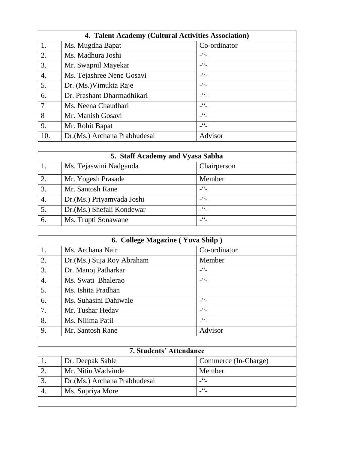| 4. Talent Academy (Cultural Activities Association) |                               |                              |
|-----------------------------------------------------|-------------------------------|------------------------------|
| 1.                                                  | Ms. Mugdha Bapat              | Co-ordinator                 |
| 2.                                                  | Ms. Madhura Joshi             | $ 66$                        |
| 3.                                                  | Mr. Swapnil Mayekar           | $ \frac{66}{1}$              |
| 4.                                                  | Ms. Tejashree Nene Gosavi     | $\mathcal{L}$                |
| 5.                                                  | Dr. (Ms.) Vimukta Raje        | $\mathfrak{c}\mathfrak{c}_-$ |
| 6.                                                  | Dr. Prashant Dharmadhikari    | $ -$                         |
| $\overline{7}$                                      | Ms. Neena Chaudhari           | $ 66$                        |
| 8                                                   | Mr. Manish Gosavi             | $\mathcal{C}$                |
| 9.                                                  | Mr. Rohit Bapat               | $\epsilon\epsilon$           |
| 10.                                                 | Dr. (Ms.) Archana Prabhudesai | Advisor                      |

| 5. Staff Academy and Vyasa Sabha |                            |                       |  |
|----------------------------------|----------------------------|-----------------------|--|
|                                  | Ms. Tejaswini Nadgauda     | Chairperson           |  |
| 2.                               | Mr. Yogesh Prasade         | Member                |  |
| 3.                               | Mr. Santosh Rane           | $\lceil \cdot \rceil$ |  |
| $\overline{4}$ .                 | Dr. (Ms.) Priyamvada Joshi | 66                    |  |
| 5.                               | Dr.(Ms.) Shefali Kondewar  | $\epsilon$            |  |
| 6.                               | Ms. Trupti Sonawane        | $\frac{66}{1}$        |  |
|                                  |                            |                       |  |

| 6. College Magazine (Yuva Shilp) |                            |                         |
|----------------------------------|----------------------------|-------------------------|
| 1.                               | Ms. Archana Nair           | Co-ordinator            |
| 2.                               | Dr. (Ms.) Suja Roy Abraham | Member                  |
| 3.                               | Dr. Manoj Patharkar        | - "-                    |
| $\overline{4}$ .                 | Ms. Swati Bhalerao         | $\cdot$ $\cdot$         |
| 5.                               | Ms. Ishita Pradhan         |                         |
| 6.                               | Ms. Suhasini Dahiwale      | $\boldsymbol{\epsilon}$ |
| 7.                               | Mr. Tushar Hedav           | 66                      |
| 8.                               | Ms. Nilima Patil           | 66                      |
| 9.                               | Mr. Santosh Rane           | Advisor                 |

| <b>7. Students' Attendance</b> |                               |                      |
|--------------------------------|-------------------------------|----------------------|
|                                | Dr. Deepak Sable              | Commerce (In-Charge) |
| $\overline{2}$ .               | Mr. Nitin Wadvinde            | Member               |
| 3.                             | Dr. (Ms.) Archana Prabhudesai | 66                   |
|                                | Ms. Supriya More              | 66                   |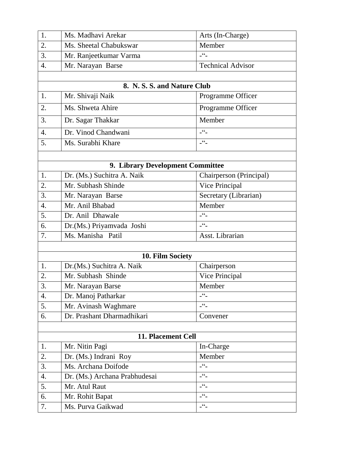| 1.               | Ms. Madhavi Arekar               | Arts (In-Charge)            |
|------------------|----------------------------------|-----------------------------|
| 2.               | Ms. Sheetal Chabukswar           | Member                      |
| 3.               | Mr. Ranjeetkumar Varma           | $ 66$                       |
| 4.               | Mr. Narayan Barse                | <b>Technical Advisor</b>    |
|                  |                                  |                             |
|                  | 8. N. S. S. and Nature Club      |                             |
| 1.               | Mr. Shivaji Naik                 | Programme Officer           |
| 2.               | Ms. Shweta Ahire                 | Programme Officer           |
| 3.               | Dr. Sagar Thakkar                | Member                      |
| $\overline{4}$ . | Dr. Vinod Chandwani              | $-66$                       |
| 5.               | Ms. Surabhi Khare                | $ 66$                       |
|                  |                                  |                             |
|                  | 9. Library Development Committee |                             |
| 1.               | Dr. (Ms.) Suchitra A. Naik       | Chairperson (Principal)     |
| 2.               | Mr. Subhash Shinde               | Vice Principal              |
| 3.               | Mr. Narayan Barse                | Secretary (Librarian)       |
| 4.               | Mr. Anil Bhabad                  | Member                      |
| 5.               | Dr. Anil Dhawale                 | $ 66$                       |
| 6.               | Dr.(Ms.) Priyamvada Joshi        | $-66$                       |
| 7.               | Ms. Manisha Patil                | Asst. Librarian             |
|                  |                                  |                             |
|                  | 10. Film Society                 |                             |
| 1.               | Dr.(Ms.) Suchitra A. Naik        | Chairperson                 |
| 2.               | Mr. Subhash Shinde               | Vice Principal              |
| 3.               | Mr. Narayan Barse                | Member                      |
| 4.               | Dr. Manoj Patharkar              | $ 66 -$                     |
| 5.               | Mr. Avinash Waghmare             | $ 66$                       |
| 6.               | Dr. Prashant Dharmadhikari       | Convener                    |
|                  |                                  |                             |
|                  | 11. Placement Cell               |                             |
| 1.               | Mr. Nitin Pagi                   | In-Charge                   |
| 2.               | Dr. (Ms.) Indrani Roy            | Member                      |
| 3.               | Ms. Archana Doifode              | $-$ <sup>cc</sup> $-$       |
| 4.               | Dr. (Ms.) Archana Prabhudesai    | $-$ <sup>66</sup> $-$       |
| 5.               | Mr. Atul Raut                    | $-$ <sup>66</sup> $-$       |
| 6.               | Mr. Rohit Bapat                  | $\mathcal{L}^{\mathsf{cc}}$ |
| 7.               | Ms. Purva Gaikwad                | $-$ <sup>66</sup> $-$       |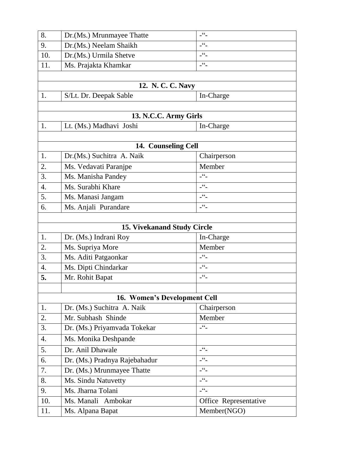| 8.               | Dr.(Ms.) Mrunmayee Thatte          | $ 66 -$               |  |
|------------------|------------------------------------|-----------------------|--|
| 9.               | Dr.(Ms.) Neelam Shaikh             | $-66$                 |  |
| 10.              | Dr.(Ms.) Urmila Shetve             | $ -$                  |  |
| 11.              | Ms. Prajakta Khamkar               | $ 66$                 |  |
|                  |                                    |                       |  |
|                  | 12. N. C. C. Navy                  |                       |  |
| 1.               | S/Lt. Dr. Deepak Sable             | In-Charge             |  |
|                  |                                    |                       |  |
|                  | 13. N.C.C. Army Girls              |                       |  |
| 1.               | Lt. (Ms.) Madhavi Joshi            | In-Charge             |  |
|                  |                                    |                       |  |
|                  | 14. Counseling Cell                |                       |  |
| 1.               | Dr.(Ms.) Suchitra A. Naik          | Chairperson           |  |
| 2.               | Ms. Vedavati Paranjpe              | Member                |  |
| 3.               | Ms. Manisha Pandey                 | $-66$                 |  |
| $\overline{4}$ . | Ms. Surabhi Khare                  | $-$ <sup>cc</sup> $-$ |  |
| 5.               | Ms. Manasi Jangam                  | $-$ <sup>cc</sup> $-$ |  |
| 6.               | Ms. Anjali Purandare               | $-66$                 |  |
|                  |                                    |                       |  |
|                  | <b>15. Vivekanand Study Circle</b> |                       |  |
| 1.               | Dr. (Ms.) Indrani Roy              | In-Charge             |  |
| 2.               | Ms. Supriya More                   | Member                |  |
| 3.               | Ms. Aditi Patgaonkar               | $-66$                 |  |
| 4.               | Ms. Dipti Chindarkar               | $-$ <sup>66</sup>     |  |
| 5.               | Mr. Rohit Bapat                    | $-$ <sup>66</sup> $-$ |  |
|                  |                                    |                       |  |
|                  | 16. Women's Development Cell       |                       |  |
| 1.               | Dr. (Ms.) Suchitra A. Naik         | Chairperson           |  |
| 2.               | Mr. Subhash Shinde                 | Member                |  |
| 3.               | Dr. (Ms.) Priyamvada Tokekar       | $-$ <sup>cc</sup> $-$ |  |
| 4.               | Ms. Monika Deshpande               |                       |  |
| 5.               | Dr. Anil Dhawale                   | $-$ <sup>cc</sup> $-$ |  |
| 6.               | Dr. (Ms.) Pradnya Rajebahadur      | $ -$                  |  |
| 7.               | Dr. (Ms.) Mrunmayee Thatte         | $ -$                  |  |
| 8.               | Ms. Sindu Natuvetty                | $-$ <sup>66</sup> $-$ |  |
| 9.               | Ms. Jharna Tolani                  | $-66$                 |  |
| 10.              | Ms. Manali Ambokar                 | Office Representative |  |
| 11.              | Ms. Alpana Bapat                   | Member(NGO)           |  |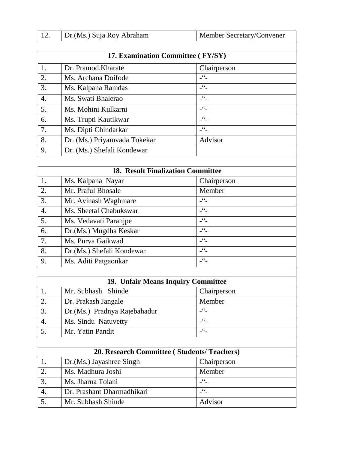| 12.                                      | Dr.(Ms.) Suja Roy Abraham                         | Member Secretary/Convener   |  |
|------------------------------------------|---------------------------------------------------|-----------------------------|--|
|                                          |                                                   |                             |  |
| 17. Examination Committee (FY/SY)        |                                                   |                             |  |
| 1.                                       | Dr. Pramod. Kharate                               | Chairperson                 |  |
| 2.                                       | Ms. Archana Doifode                               | $-66$                       |  |
| 3.                                       | Ms. Kalpana Ramdas                                | $-$ <sup>66</sup> $-$       |  |
| 4.                                       | Ms. Swati Bhalerao                                | $ -$                        |  |
| 5.                                       | Ms. Mohini Kulkarni                               | $-$ <sup>66</sup> $-$       |  |
| 6.                                       | Ms. Trupti Kautikwar                              | $-$ <sup>66</sup> $-$       |  |
| 7.                                       | Ms. Dipti Chindarkar                              | $-$ <sup>66</sup> $-$       |  |
| 8.                                       | Dr. (Ms.) Priyamvada Tokekar                      | Advisor                     |  |
| 9.                                       | Dr. (Ms.) Shefali Kondewar                        |                             |  |
|                                          |                                                   |                             |  |
| <b>18. Result Finalization Committee</b> |                                                   |                             |  |
| 1.                                       | Ms. Kalpana Nayar                                 | Chairperson                 |  |
| 2.                                       | Mr. Praful Bhosale                                | Member                      |  |
| 3.                                       | Mr. Avinash Waghmare                              | $ -$                        |  |
| 4.                                       | Ms. Sheetal Chabukswar                            | $-$ <sup>66</sup> $-$       |  |
| 5.                                       | Ms. Vedavati Paranjpe                             | $-66$                       |  |
| 6.                                       | Dr.(Ms.) Mugdha Keskar                            | $-$ <sup>cc</sup> $-$       |  |
| 7.                                       | Ms. Purva Gaikwad                                 | $ 66$                       |  |
| 8.                                       | Dr. (Ms.) Shefali Kondewar                        | $-66$                       |  |
| 9.                                       | Ms. Aditi Patgaonkar                              | $-$ <sup>66</sup>           |  |
|                                          |                                                   |                             |  |
|                                          | 19. Unfair Means Inquiry Committee                |                             |  |
| 1.                                       | Mr. Subhash Shinde                                | Chairperson                 |  |
| 2.                                       | Dr. Prakash Jangale                               | Member                      |  |
| 3.                                       | Dr.(Ms.) Pradnya Rajebahadur                      | $-$ <sup>66</sup> $-$       |  |
| 4.                                       | Ms. Sindu Natuvetty                               | $-$ <sup>cc</sup> $-$       |  |
| 5.                                       | Mr. Yatin Pandit                                  | $-$ <sup>66</sup> $-$       |  |
|                                          |                                                   |                             |  |
|                                          | <b>20. Research Committee (Students/Teachers)</b> |                             |  |
| 1.                                       | Dr.(Ms.) Jayashree Singh                          | Chairperson                 |  |
| 2.                                       | Ms. Madhura Joshi                                 | Member<br>$-$ <sup>66</sup> |  |
| 3.                                       | Ms. Jharna Tolani                                 | $-$ <sup>cc</sup>           |  |
| 4.                                       | Dr. Prashant Dharmadhikari                        |                             |  |
| 5.                                       | Mr. Subhash Shinde                                | Advisor                     |  |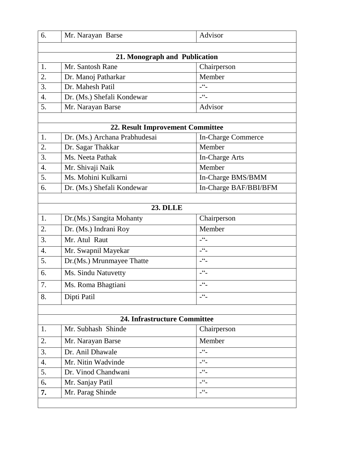| 6.                            | Mr. Narayan Barse                | Advisor                       |
|-------------------------------|----------------------------------|-------------------------------|
|                               |                                  |                               |
| 21. Monograph and Publication |                                  |                               |
| 1.                            | Mr. Santosh Rane                 | Chairperson                   |
| 2.                            | Dr. Manoj Patharkar              | Member                        |
| 3.                            | Dr. Mahesh Patil                 | $ -$                          |
| $\overline{4}$ .              | Dr. (Ms.) Shefali Kondewar       | $ 66$                         |
| 5.                            | Mr. Narayan Barse                | Advisor                       |
|                               |                                  |                               |
|                               | 22. Result Improvement Committee |                               |
| 1.                            | Dr. (Ms.) Archana Prabhudesai    | In-Charge Commerce            |
| 2.                            | Dr. Sagar Thakkar                | Member                        |
| 3.                            | Ms. Neeta Pathak                 | In-Charge Arts                |
| 4.                            | Mr. Shivaji Naik                 | Member                        |
| 5.                            | Ms. Mohini Kulkarni              | In-Charge BMS/BMM             |
| 6.                            | Dr. (Ms.) Shefali Kondewar       | In-Charge BAF/BBI/BFM         |
|                               |                                  |                               |
|                               | <b>23. DLLE</b>                  |                               |
| 1.                            | Dr.(Ms.) Sangita Mohanty         | Chairperson                   |
| 2.                            | Dr. (Ms.) Indrani Roy            | Member                        |
| 3.                            | Mr. Atul Raut                    | $-66$                         |
| 4.                            | Mr. Swapnil Mayekar              | $-66$                         |
| 5.                            | Dr.(Ms.) Mrunmayee Thatte        | $-$ <sup>cc</sup> $-$         |
| 6.                            | Ms. Sindu Natuvetty              | $-$ <sup>cc</sup> $-$         |
| 7.                            | Ms. Roma Bhagtiani               | $\textsf{G}\,\textsf{G}$      |
| 8.                            | Dipti Patil                      | $ 66$                         |
|                               |                                  |                               |
|                               | 24. Infrastructure Committee     |                               |
| 1.                            | Mr. Subhash Shinde               | Chairperson                   |
| 2.                            | Mr. Narayan Barse                | Member                        |
| 3.                            | Dr. Anil Dhawale                 | $ 66$                         |
| 4.                            | Mr. Nitin Wadvinde               | $  -$                         |
| 5.                            | Dr. Vinod Chandwani              | $-66$                         |
| 6.                            | Mr. Sanjay Patil                 | $ -$                          |
| 7.                            | Mr. Parag Shinde                 | $\frac{1}{2}$ 6 $\frac{1}{2}$ |
|                               |                                  |                               |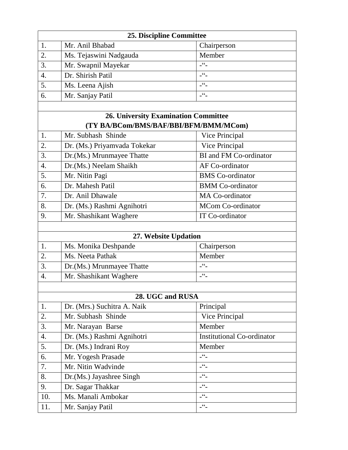| 25. Discipline Committee |                                             |                                   |
|--------------------------|---------------------------------------------|-----------------------------------|
| 1.                       | Mr. Anil Bhabad                             | Chairperson                       |
| 2.                       | Ms. Tejaswini Nadgauda                      | Member                            |
| 3.                       | Mr. Swapnil Mayekar                         | $ -$                              |
| 4.                       | Dr. Shirish Patil                           | $-$ <sup>66</sup> $-$             |
| 5.                       | Ms. Leena Ajish                             | $ \overset{\circ}{-}$             |
| 6.                       | Mr. Sanjay Patil                            | $-66$                             |
|                          |                                             |                                   |
|                          | <b>26. University Examination Committee</b> |                                   |
|                          | (TY BA/BCom/BMS/BAF/BBI/BFM/BMM/MCom)       |                                   |
| 1.                       | Mr. Subhash Shinde                          | Vice Principal                    |
| 2.                       | Dr. (Ms.) Priyamvada Tokekar                | Vice Principal                    |
| 3.                       | Dr.(Ms.) Mrunmayee Thatte                   | <b>BI</b> and FM Co-ordinator     |
| 4.                       | Dr.(Ms.) Neelam Shaikh                      | AF Co-ordinator                   |
| 5.                       | Mr. Nitin Pagi                              | <b>BMS</b> Co-ordinator           |
| 6.                       | Dr. Mahesh Patil                            | <b>BMM</b> Co-ordinator           |
| 7.                       | Dr. Anil Dhawale                            | MA Co-ordinator                   |
| 8.                       | Dr. (Ms.) Rashmi Agnihotri                  | MCom Co-ordinator                 |
| 9.                       | Mr. Shashikant Waghere                      | IT Co-ordinator                   |
|                          |                                             |                                   |
|                          | 27. Website Updation                        |                                   |
| 1.                       | Ms. Monika Deshpande                        | Chairperson                       |
| 2.                       | Ms. Neeta Pathak                            | Member                            |
| 3.                       | Dr.(Ms.) Mrunmayee Thatte                   | $-$ <sup>66</sup> $-$             |
| 4.                       | Mr. Shashikant Waghere                      | $-66$                             |
|                          |                                             |                                   |
|                          | 28. UGC and RUSA                            |                                   |
| 1.                       | Dr. (Mrs.) Suchitra A. Naik                 | Principal                         |
| 2.                       | Mr. Subhash Shinde                          | Vice Principal                    |
| 3.                       | Mr. Narayan Barse                           | Member                            |
| 4.                       | Dr. (Ms.) Rashmi Agnihotri                  | <b>Institutional Co-ordinator</b> |
| 5.                       | Dr. (Ms.) Indrani Roy                       | Member                            |
| 6.                       | Mr. Yogesh Prasade                          | $-66$                             |
| 7.                       | Mr. Nitin Wadvinde                          | $ 66$                             |
| 8.                       | Dr. (Ms.) Jayashree Singh                   | $ -$                              |
| 9.                       | Dr. Sagar Thakkar                           | $ 66$                             |
| 10.                      | Ms. Manali Ambokar                          | $ -$                              |
| 11.                      | Mr. Sanjay Patil                            | $-$ <sup>66</sup> $-$             |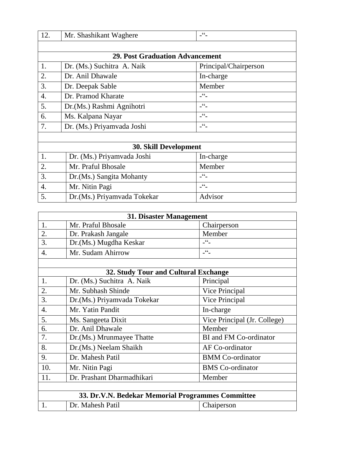| 12.              | Mr. Shashikant Waghere                 | $ -$                          |
|------------------|----------------------------------------|-------------------------------|
|                  |                                        |                               |
|                  | <b>29. Post Graduation Advancement</b> |                               |
| 1.               | Dr. (Ms.) Suchitra A. Naik             | Principal/Chairperson         |
| 2.               | Dr. Anil Dhawale                       | In-charge                     |
| 3.               | Dr. Deepak Sable                       | Member                        |
| $\overline{4}$ . | Dr. Pramod Kharate                     | $-66$                         |
| 5.               | Dr. (Ms.) Rashmi Agnihotri             | $\overline{\phantom{1}}^{66}$ |
| 6.               | Ms. Kalpana Nayar                      | $ -$                          |
| 7.               | Dr. (Ms.) Priyamvada Joshi             | $-66$                         |
|                  |                                        |                               |
|                  | <b>30. Skill Development</b>           |                               |
| 1.               | Dr. (Ms.) Priyamvada Joshi             | In-charge                     |
| 2.               | Mr. Praful Bhosale                     | Member                        |
| 3.               | Dr. (Ms.) Sangita Mohanty              | $\overline{\phantom{1}}^{66}$ |
| $\overline{4}$ . | Mr. Nitin Pagi                         | $-66$                         |
| 5.               | Dr. (Ms.) Priyamvada Tokekar           | Advisor                       |

| 31. Disaster Management |                                                   |                              |
|-------------------------|---------------------------------------------------|------------------------------|
| 1.                      | Mr. Praful Bhosale                                | Chairperson                  |
| $\overline{2}$ .        | Dr. Prakash Jangale                               | Member                       |
| 3.                      | Dr.(Ms.) Mugdha Keskar                            | $-66$                        |
| $\overline{4}$ .        | Mr. Sudam Ahirrow                                 | $ 66$                        |
|                         |                                                   |                              |
|                         | 32. Study Tour and Cultural Exchange              |                              |
| 1.                      | Dr. (Ms.) Suchitra A. Naik                        | Principal                    |
| 2.                      | Mr. Subhash Shinde                                | Vice Principal               |
| 3.                      | Dr.(Ms.) Priyamvada Tokekar                       | Vice Principal               |
| $\overline{4}$ .        | Mr. Yatin Pandit                                  | In-charge                    |
| 5.                      | Ms. Sangeeta Dixit                                | Vice Principal (Jr. College) |
| 6.                      | Dr. Anil Dhawale                                  | Member                       |
| 7.                      | Dr. (Ms.) Mrunmayee Thatte                        | BI and FM Co-ordinator       |
| 8.                      | Dr.(Ms.) Neelam Shaikh                            | AF Co-ordinator              |
| 9.                      | Dr. Mahesh Patil                                  | <b>BMM</b> Co-ordinator      |
| 10.                     | Mr. Nitin Pagi                                    | <b>BMS</b> Co-ordinator      |
| 11.                     | Dr. Prashant Dharmadhikari                        | Member                       |
|                         |                                                   |                              |
|                         | 33. Dr.V.N. Bedekar Memorial Programmes Committee |                              |
| 1.                      | Dr. Mahesh Patil                                  | Chaiperson                   |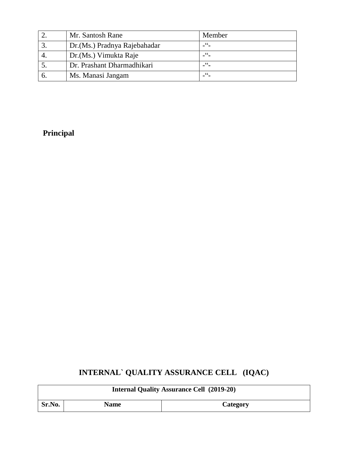| Mr. Santosh Rane              | Member |
|-------------------------------|--------|
| Dr. (Ms.) Pradnya Rajebahadar | 66     |
| Dr. (Ms.) Vimukta Raje        |        |
| Dr. Prashant Dharmadhikari    |        |
| Ms. Manasi Jangam             |        |

#### **Principal**

## **INTERNAL` QUALITY ASSURANCE CELL (IQAC)**

| <b>Internal Quality Assurance Cell (2019-20)</b> |             |          |  |  |
|--------------------------------------------------|-------------|----------|--|--|
| Sr.No.                                           | <b>Name</b> | Category |  |  |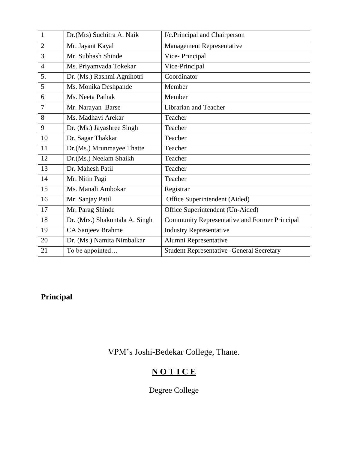| $\mathbf{1}$   | Dr.(Mrs) Suchitra A. Naik      | I/c.Principal and Chairperson                    |
|----------------|--------------------------------|--------------------------------------------------|
| $\overline{2}$ | Mr. Jayant Kayal               | <b>Management Representative</b>                 |
| 3              | Mr. Subhash Shinde             | Vice-Principal                                   |
| $\overline{4}$ | Ms. Priyamvada Tokekar         | Vice-Principal                                   |
| 5.             | Dr. (Ms.) Rashmi Agnihotri     | Coordinator                                      |
| 5              | Ms. Monika Deshpande           | Member                                           |
| 6              | Ms. Neeta Pathak               | Member                                           |
| 7              | Mr. Narayan Barse              | Librarian and Teacher                            |
| 8              | Ms. Madhavi Arekar             | Teacher                                          |
| 9              | Dr. (Ms.) Jayashree Singh      | Teacher                                          |
| 10             | Dr. Sagar Thakkar              | Teacher                                          |
| 11             | Dr.(Ms.) Mrunmayee Thatte      | Teacher                                          |
| 12             | Dr.(Ms.) Neelam Shaikh         | Teacher                                          |
| 13             | Dr. Mahesh Patil               | Teacher                                          |
| 14             | Mr. Nitin Pagi                 | Teacher                                          |
| 15             | Ms. Manali Ambokar             | Registrar                                        |
| 16             | Mr. Sanjay Patil               | Office Superintendent (Aided)                    |
| 17             | Mr. Parag Shinde               | Office Superintendent (Un-Aided)                 |
| 18             | Dr. (Mrs.) Shakuntala A. Singh | Community Representative and Former Principal    |
| 19             | CA Sanjeev Brahme              | <b>Industry Representative</b>                   |
| 20             | Dr. (Ms.) Namita Nimbalkar     | Alumni Representative                            |
| 21             | To be appointed                | <b>Student Representative -General Secretary</b> |

## **Principal**

VPM's Joshi-Bedekar College, Thane.

# **N O T I C E**

Degree College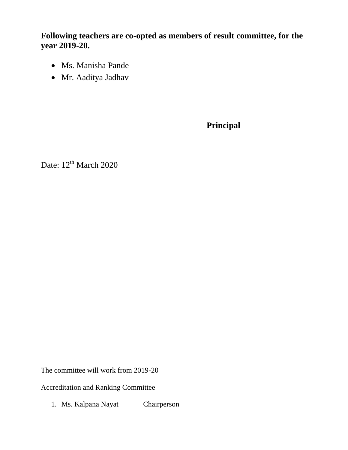**Following teachers are co-opted as members of result committee, for the year 2019-20.**

- Ms. Manisha Pande
- Mr. Aaditya Jadhav

**Principal**

Date:  $12^{th}$  March 2020

The committee will work from 2019-20

Accreditation and Ranking Committee

1. Ms. Kalpana Nayat Chairperson